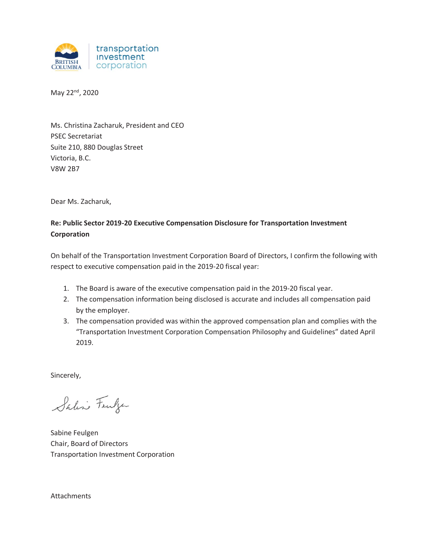

May 22<sup>nd</sup>, 2020

Ms. Christina Zacharuk, President and CEO PSEC Secretariat Suite 210, 880 Douglas Street Victoria, B.C. V8W 2B7

Dear Ms. Zacharuk,

# **Re: Public Sector 2019-20 Executive Compensation Disclosure for Transportation Investment Corporation**

On behalf of the Transportation Investment Corporation Board of Directors, I confirm the following with respect to executive compensation paid in the 2019-20 fiscal year:

- 1. The Board is aware of the executive compensation paid in the 2019-20 fiscal year.
- 2. The compensation information being disclosed is accurate and includes all compensation paid by the employer.
- 3. The compensation provided was within the approved compensation plan and complies with the "Transportation Investment Corporation Compensation Philosophy and Guidelines" dated April 2019.

Sincerely,

Saline Fewlyer

Sabine Feulgen Chair, Board of Directors Transportation Investment Corporation

Attachments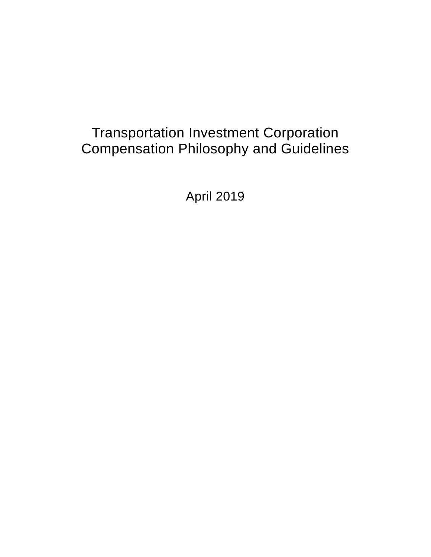# Transportation Investment Corporation Compensation Philosophy and Guidelines

April 2019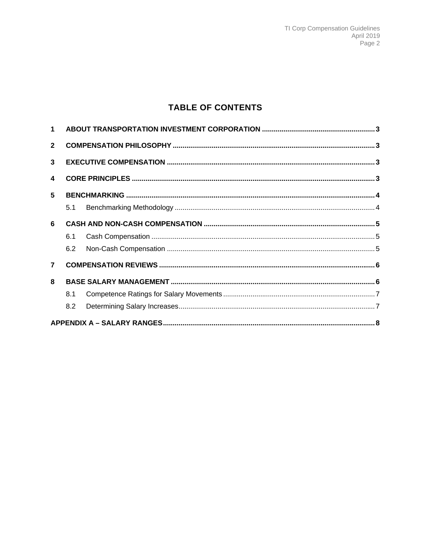# **TABLE OF CONTENTS**

| $\overline{2}$          |     |  |  |  |  |
|-------------------------|-----|--|--|--|--|
| 3                       |     |  |  |  |  |
| $\overline{\mathbf{4}}$ |     |  |  |  |  |
| 5                       |     |  |  |  |  |
|                         | 5.1 |  |  |  |  |
| 6                       |     |  |  |  |  |
|                         | 6.1 |  |  |  |  |
|                         | 6.2 |  |  |  |  |
| 7 <sup>7</sup>          |     |  |  |  |  |
| 8                       |     |  |  |  |  |
|                         | 8.1 |  |  |  |  |
|                         | 8.2 |  |  |  |  |
|                         |     |  |  |  |  |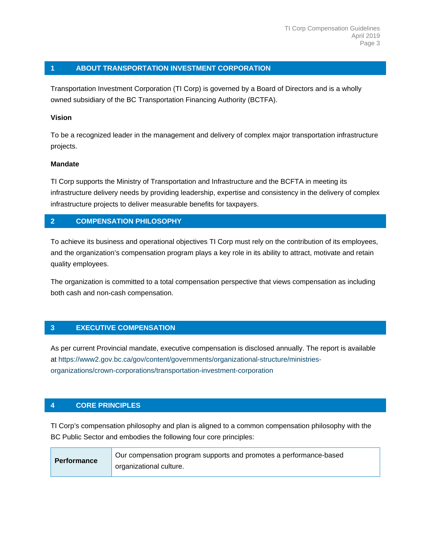# **1 ABOUT TRANSPORTATION INVESTMENT CORPORATION**

Transportation Investment Corporation (TI Corp) is governed by a Board of Directors and is a wholly owned subsidiary of the BC Transportation Financing Authority (BCTFA).

#### **Vision**

To be a recognized leader in the management and delivery of complex major transportation infrastructure projects.

#### **Mandate**

TI Corp supports the Ministry of Transportation and Infrastructure and the BCFTA in meeting its infrastructure delivery needs by providing leadership, expertise and consistency in the delivery of complex infrastructure projects to deliver measurable benefits for taxpayers.

# **2 COMPENSATION PHILOSOPHY**

To achieve its business and operational objectives TI Corp must rely on the contribution of its employees, and the organization's compensation program plays a key role in its ability to attract, motivate and retain quality employees.

The organization is committed to a total compensation perspective that views compensation as including both cash and non-cash compensation.

#### **3 EXECUTIVE COMPENSATION**

As per current Provincial mandate, executive compensation is disclosed annually. The report is available at https://www2.gov.bc.ca/gov/content/governments/organizational-structure/ministriesorganizations/crown-corporations/transportation-investment-corporation

#### **4 CORE PRINCIPLES**

TI Corp's compensation philosophy and plan is aligned to a common compensation philosophy with the BC Public Sector and embodies the following four core principles:

| <b>Performance</b> | Our compensation program supports and promotes a performance-based |
|--------------------|--------------------------------------------------------------------|
|                    | organizational culture.                                            |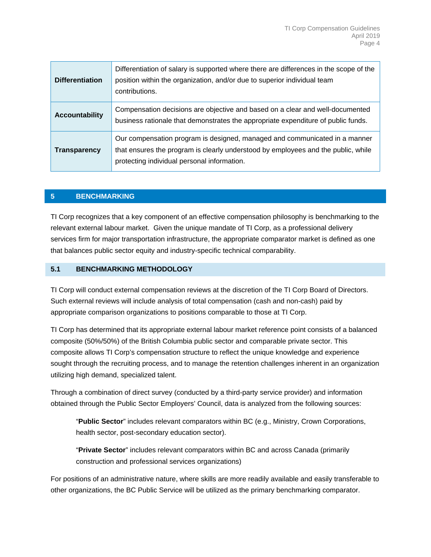| <b>Differentiation</b> | Differentiation of salary is supported where there are differences in the scope of the<br>position within the organization, and/or due to superior individual team<br>contributions.                           |
|------------------------|----------------------------------------------------------------------------------------------------------------------------------------------------------------------------------------------------------------|
| <b>Accountability</b>  | Compensation decisions are objective and based on a clear and well-documented<br>business rationale that demonstrates the appropriate expenditure of public funds.                                             |
| Transparency           | Our compensation program is designed, managed and communicated in a manner<br>that ensures the program is clearly understood by employees and the public, while<br>protecting individual personal information. |

#### **5 BENCHMARKING**

TI Corp recognizes that a key component of an effective compensation philosophy is benchmarking to the relevant external labour market. Given the unique mandate of TI Corp, as a professional delivery services firm for major transportation infrastructure, the appropriate comparator market is defined as one that balances public sector equity and industry-specific technical comparability.

#### **5.1 BENCHMARKING METHODOLOGY**

TI Corp will conduct external compensation reviews at the discretion of the TI Corp Board of Directors. Such external reviews will include analysis of total compensation (cash and non-cash) paid by appropriate comparison organizations to positions comparable to those at TI Corp.

TI Corp has determined that its appropriate external labour market reference point consists of a balanced composite (50%/50%) of the British Columbia public sector and comparable private sector. This composite allows TI Corp's compensation structure to reflect the unique knowledge and experience sought through the recruiting process, and to manage the retention challenges inherent in an organization utilizing high demand, specialized talent.

Through a combination of direct survey (conducted by a third-party service provider) and information obtained through the Public Sector Employers' Council, data is analyzed from the following sources:

"**Public Sector**" includes relevant comparators within BC (e.g., Ministry, Crown Corporations, health sector, post-secondary education sector).

"**Private Sector**" includes relevant comparators within BC and across Canada (primarily construction and professional services organizations)

For positions of an administrative nature, where skills are more readily available and easily transferable to other organizations, the BC Public Service will be utilized as the primary benchmarking comparator.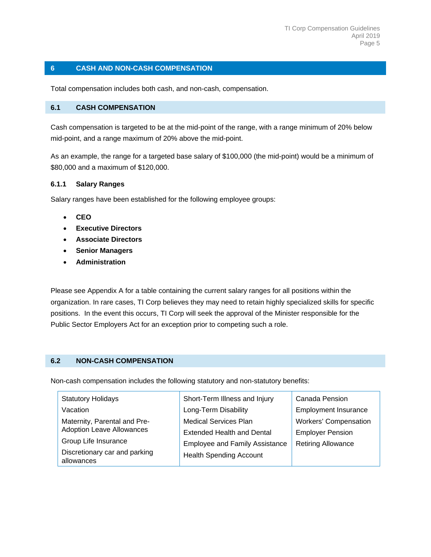## **6 CASH AND NON-CASH COMPENSATION**

Total compensation includes both cash, and non-cash, compensation.

#### **6.1 CASH COMPENSATION**

Cash compensation is targeted to be at the mid-point of the range, with a range minimum of 20% below mid-point, and a range maximum of 20% above the mid-point.

As an example, the range for a targeted base salary of \$100,000 (the mid-point) would be a minimum of \$80,000 and a maximum of \$120,000.

#### **6.1.1 Salary Ranges**

Salary ranges have been established for the following employee groups:

- **CEO**
- **Executive Directors**
- **Associate Directors**
- **Senior Managers**
- **Administration**

Please see Appendix A for a table containing the current salary ranges for all positions within the organization. In rare cases, TI Corp believes they may need to retain highly specialized skills for specific positions. In the event this occurs, TI Corp will seek the approval of the Minister responsible for the Public Sector Employers Act for an exception prior to competing such a role.

#### **6.2 NON-CASH COMPENSATION**

Non-cash compensation includes the following statutory and non-statutory benefits:

| <b>Statutory Holidays</b>                   | Short-Term Illness and Injury         | Canada Pension              |  |  |
|---------------------------------------------|---------------------------------------|-----------------------------|--|--|
| Vacation                                    | Long-Term Disability                  | <b>Employment Insurance</b> |  |  |
| Maternity, Parental and Pre-                | <b>Medical Services Plan</b>          | Workers' Compensation       |  |  |
| <b>Adoption Leave Allowances</b>            | Extended Health and Dental            | <b>Employer Pension</b>     |  |  |
| Group Life Insurance                        | <b>Employee and Family Assistance</b> | <b>Retiring Allowance</b>   |  |  |
| Discretionary car and parking<br>allowances | <b>Health Spending Account</b>        |                             |  |  |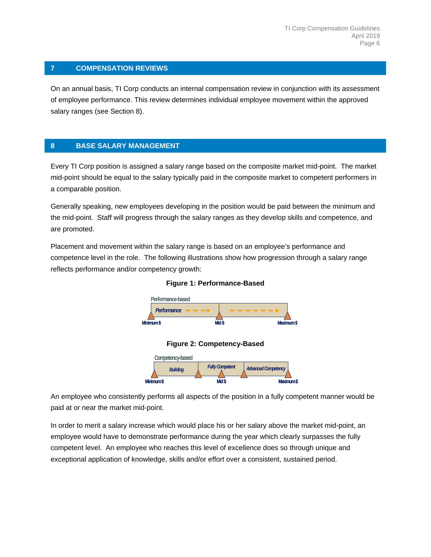# **7 COMPENSATION REVIEWS**

On an annual basis, TI Corp conducts an internal compensation review in conjunction with its assessment of employee performance. This review determines individual employee movement within the approved salary ranges (see Section 8).

# **8 BASE SALARY MANAGEMENT**

Every TI Corp position is assigned a salary range based on the composite market mid-point. The market mid-point should be equal to the salary typically paid in the composite market to competent performers in a comparable position.

Generally speaking, new employees developing in the position would be paid between the minimum and the mid-point. Staff will progress through the salary ranges as they develop skills and competence, and are promoted.

Placement and movement within the salary range is based on an employee's performance and competence level in the role. The following illustrations show how progression through a salary range reflects performance and/or competency growth:



#### **Figure 1: Performance-Based**





An employee who consistently performs all aspects of the position in a fully competent manner would be paid at or near the market mid-point.

In order to merit a salary increase which would place his or her salary above the market mid-point, an employee would have to demonstrate performance during the year which clearly surpasses the fully competent level. An employee who reaches this level of excellence does so through unique and exceptional application of knowledge, skills and/or effort over a consistent, sustained period.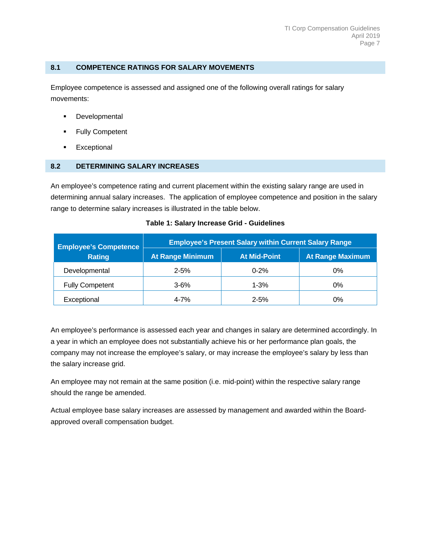#### **8.1 COMPETENCE RATINGS FOR SALARY MOVEMENTS**

Employee competence is assessed and assigned one of the following overall ratings for salary movements:

- **Developmental**
- Fully Competent
- **Exceptional**

#### **8.2 DETERMINING SALARY INCREASES**

An employee's competence rating and current placement within the existing salary range are used in determining annual salary increases. The application of employee competence and position in the salary range to determine salary increases is illustrated in the table below.

| <b>Employee's Competence</b> | <b>Employee's Present Salary within Current Salary Range</b> |                     |                  |  |  |  |
|------------------------------|--------------------------------------------------------------|---------------------|------------------|--|--|--|
| <b>Rating</b>                | <b>At Range Minimum</b>                                      | <b>At Mid-Point</b> | At Range Maximum |  |  |  |
| Developmental                | $2 - 5%$                                                     | $0 - 2%$            | 0%               |  |  |  |
| <b>Fully Competent</b>       | $3 - 6%$                                                     | $1 - 3%$            | 0%               |  |  |  |
| Exceptional                  | $4 - 7%$                                                     | $2 - 5%$            | 0%               |  |  |  |

#### **Table 1: Salary Increase Grid - Guidelines**

An employee's performance is assessed each year and changes in salary are determined accordingly. In a year in which an employee does not substantially achieve his or her performance plan goals, the company may not increase the employee's salary, or may increase the employee's salary by less than the salary increase grid.

An employee may not remain at the same position (i.e. mid-point) within the respective salary range should the range be amended.

Actual employee base salary increases are assessed by management and awarded within the Boardapproved overall compensation budget.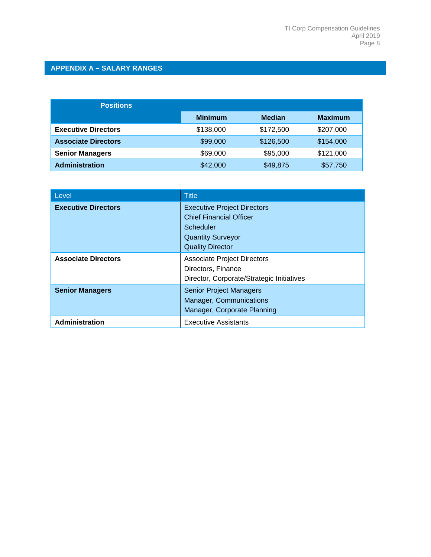# **APPENDIX A – SALARY RANGES**

| <b>Positions</b>           |                |               |                |
|----------------------------|----------------|---------------|----------------|
|                            | <b>Minimum</b> | <b>Median</b> | <b>Maximum</b> |
| <b>Executive Directors</b> | \$138,000      | \$172,500     | \$207,000      |
| <b>Associate Directors</b> | \$99,000       | \$126,500     | \$154,000      |
| <b>Senior Managers</b>     | \$69,000       | \$95,000      | \$121,000      |
| <b>Administration</b>      | \$42,000       | \$49,875      | \$57,750       |

| Level                      | <b>Title</b>                                                                                                                             |
|----------------------------|------------------------------------------------------------------------------------------------------------------------------------------|
| <b>Executive Directors</b> | <b>Executive Project Directors</b><br><b>Chief Financial Officer</b><br>Scheduler<br><b>Quantity Surveyor</b><br><b>Quality Director</b> |
| <b>Associate Directors</b> | <b>Associate Project Directors</b><br>Directors, Finance<br>Director, Corporate/Strategic Initiatives                                    |
| <b>Senior Managers</b>     | <b>Senior Project Managers</b><br>Manager, Communications<br>Manager, Corporate Planning                                                 |
| Administration             | <b>Executive Assistants</b>                                                                                                              |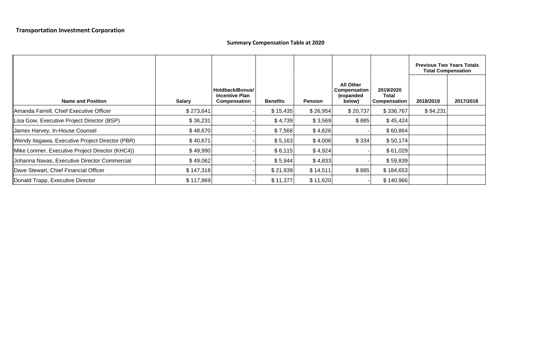# **Summary Compensation Table at 2020**

|                                                  |               |                                                                 |                 |                |                                                         |                                           | <b>Previous Two Years Totals</b><br><b>Total Compensation</b> |           |
|--------------------------------------------------|---------------|-----------------------------------------------------------------|-----------------|----------------|---------------------------------------------------------|-------------------------------------------|---------------------------------------------------------------|-----------|
| <b>Name and Position</b>                         | <b>Salary</b> | Holdback/Bonus/<br><b>Incentive Plan</b><br><b>Compensation</b> | <b>Benefits</b> | <b>Pension</b> | <b>All Other</b><br>Compensation<br>(expanded<br>below) | 2019/2020<br>Total<br><b>Compensation</b> | 2018/2019                                                     | 2017/2018 |
| Amanda Farrell, Chief Executive Officer          | \$273,641     |                                                                 | \$15,435        | \$26,954       | \$20,737                                                | \$336,767                                 | \$94,231                                                      |           |
| Lisa Gow, Executive Project Director (BSP)       | \$36,231      |                                                                 | \$4,739         | \$3,569        | \$885                                                   | \$45,424                                  |                                                               |           |
| James Harvey, In-House Counsel                   | \$48,670      |                                                                 | \$7,568         | \$4,626        |                                                         | \$60,864                                  |                                                               |           |
| Wendy Itagawa, Executive Project Director (PBR)  | \$40,671      |                                                                 | \$5,163         | \$4,006        | \$334                                                   | \$50,174                                  |                                                               |           |
| Mike Lorimer, Executive Project Director (KHC4)) | \$49,990      |                                                                 | \$6,115         | \$4,924        |                                                         | \$61,029                                  |                                                               |           |
| Johanna Navas, Executive Director Commercial     | \$49,062      |                                                                 | \$5,944         | \$4,833        |                                                         | \$59,839                                  |                                                               |           |
| Dave Stewart, Chief Financial Officer            | \$147,318     |                                                                 | \$21,939        | \$14,511       | \$885                                                   | \$184,653                                 |                                                               |           |
| Donald Trapp, Executive Director                 | \$117,969     |                                                                 | \$11,377        | \$11,620       |                                                         | \$140,966                                 |                                                               |           |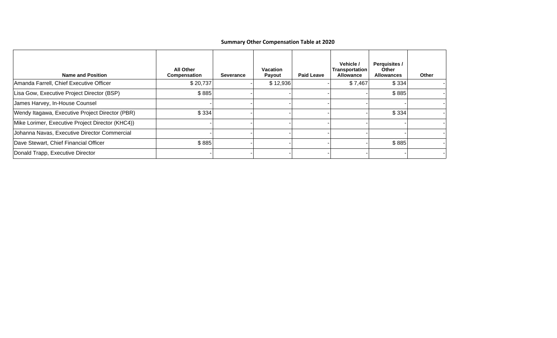# **Summary Other Compensation Table at 2020**

| <b>Name and Position</b>                         | <b>All Other</b><br>Compensation | <b>Severance</b> | <b>Vacation</b><br>Payout | <b>Paid Leave</b> | Vehicle /<br>Transportation<br><b>Allowance</b> | <b>Perquisites /</b><br>Other<br><b>Allowances</b> | Other |
|--------------------------------------------------|----------------------------------|------------------|---------------------------|-------------------|-------------------------------------------------|----------------------------------------------------|-------|
| Amanda Farrell, Chief Executive Officer          | \$20,737                         |                  | \$12,936                  |                   | \$7,467                                         | \$334                                              |       |
| Lisa Gow, Executive Project Director (BSP)       | \$885                            |                  |                           |                   |                                                 | \$885                                              |       |
| James Harvey, In-House Counsel                   |                                  |                  |                           |                   |                                                 |                                                    |       |
| Wendy Itagawa, Executive Project Director (PBR)  | \$334                            |                  |                           |                   |                                                 | \$334                                              |       |
| Mike Lorimer, Executive Project Director (KHC4)) |                                  |                  |                           |                   |                                                 |                                                    |       |
| Johanna Navas, Executive Director Commercial     |                                  |                  |                           |                   |                                                 |                                                    |       |
| Dave Stewart, Chief Financial Officer            | \$885                            |                  |                           |                   |                                                 | \$885                                              |       |
| Donald Trapp, Executive Director                 |                                  |                  |                           |                   |                                                 |                                                    |       |